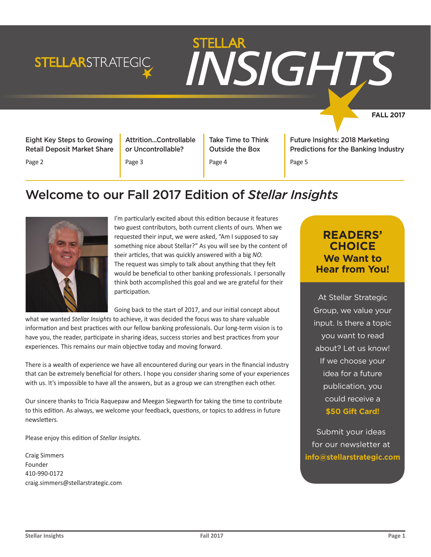## **STELLAR**STRATEGIC



**FALL 2017**

Eight Key Steps to Growing Retail Deposit Market Share

Page 2

Attrition...Controllable or Uncontrollable?

Page 3

Take Time to Think Outside the Box

Page 4

Future Insights: 2018 Marketing Predictions for the Banking Industry

Page 5

## Welcome to our Fall 2017 Edition of *Stellar Insights*



I'm particularly excited about this edition because it features two guest contributors, both current clients of ours. When we requested their input, we were asked, "Am I supposed to say something nice about Stellar?" As you will see by the content of their articles, that was quickly answered with a big *NO.*  The request was simply to talk about anything that they felt would be beneficial to other banking professionals. I personally think both accomplished this goal and we are grateful for their participation.

Going back to the start of 2017, and our initial concept about

what we wanted *Stellar Insights* to achieve, it was decided the focus was to share valuable information and best practices with our fellow banking professionals. Our long-term vision is to have you, the reader, participate in sharing ideas, success stories and best practices from your experiences. This remains our main objective today and moving forward.

There is a wealth of experience we have all encountered during our years in the financial industry that can be extremely beneficial for others. I hope you consider sharing some of your experiences with us. It's impossible to have all the answers, but as a group we can strengthen each other.

Our sincere thanks to Tricia Raquepaw and Meegan Siegwarth for taking the time to contribute to this edition. As always, we welcome your feedback, questions, or topics to address in future newsletters.

Please enjoy this edition of *Stellar Insights.* 

Craig Simmers Founder 410-990-0172 craig.simmers@stellarstrategic.com

## **READERS' CHOICE We Want to Hear from You!**

At Stellar Strategic Group, we value your input. Is there a topic you want to read about? Let us know! If we choose your idea for a future publication, you could receive a **\$50 Gift Card!** 

Submit your ideas for our newsletter at **info@stellarstrategic.com**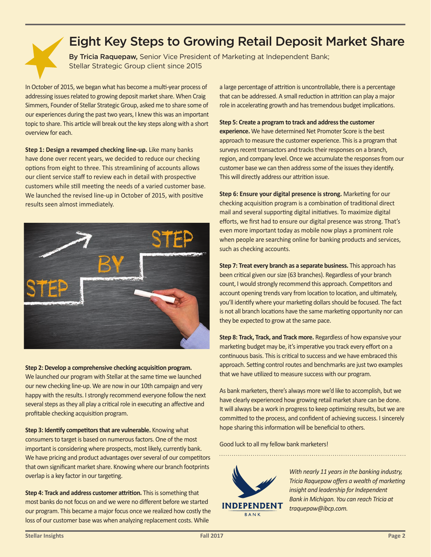## Eight Key Steps to Growing Retail Deposit Market Share

By Tricia Raquepaw, Senior Vice President of Marketing at Independent Bank; Stellar Strategic Group client since 2015

In October of 2015, we began what has become a multi-year process of addressing issues related to growing deposit market share. When Craig Simmers, Founder of Stellar Strategic Group, asked me to share some of our experiences during the past two years, I knew this was an important topic to share. This article will break out the key steps along with a short overview for each.

**Step 1: Design a revamped checking line-up.** Like many banks have done over recent years, we decided to reduce our checking options from eight to three. This streamlining of accounts allows our client service staff to review each in detail with prospective customers while still meeting the needs of a varied customer base. We launched the revised line-up in October of 2015, with positive results seen almost immediately.



**Step 2: Develop a comprehensive checking acquisition program.**  We launched our program with Stellar at the same time we launched our new checking line-up. We are now in our 10th campaign and very happy with the results. I strongly recommend everyone follow the next several steps as they all play a critical role in executing an affective and profitable checking acquisition program.

**Step 3: Identify competitors that are vulnerable.** Knowing what consumers to target is based on numerous factors. One of the most important is considering where prospects, most likely, currently bank. We have pricing and product advantages over several of our competitors that own significant market share. Knowing where our branch footprints overlap is a key factor in our targeting.

**Step 4: Track and address customer attrition.** This is something that most banks do not focus on and we were no different before we started our program. This became a major focus once we realized how costly the loss of our customer base was when analyzing replacement costs. While

a large percentage of attrition is uncontrollable, there is a percentage that can be addressed. A small reduction in attrition can play a major role in accelerating growth and has tremendous budget implications.

#### **Step 5: Create a program to track and address the customer**

**experience.** We have determined Net Promoter Score is the best approach to measure the customer experience. This is a program that surveys recent transactors and tracks their responses on a branch, region, and company level. Once we accumulate the responses from our customer base we can then address some of the issues they identify. This will directly address our attrition issue.

**Step 6: Ensure your digital presence is strong.** Marketing for our checking acquisition program is a combination of traditional direct mail and several supporting digital initiatives. To maximize digital efforts, we first had to ensure our digital presence was strong. That's even more important today as mobile now plays a prominent role when people are searching online for banking products and services, such as checking accounts.

**Step 7: Treat every branch as a separate business.** This approach has been critical given our size (63 branches). Regardless of your branch count, I would strongly recommend this approach. Competitors and account opening trends vary from location to location, and ultimately, you'll identify where your marketing dollars should be focused. The fact is not all branch locations have the same marketing opportunity nor can they be expected to grow at the same pace.

**Step 8: Track, Track, and Track more.** Regardless of how expansive your marketing budget may be, it's imperative you track every effort on a continuous basis. This is critical to success and we have embraced this approach. Setting control routes and benchmarks are just two examples that we have utilized to measure success with our program.

As bank marketers, there's always more we'd like to accomplish, but we have clearly experienced how growing retail market share can be done. It will always be a work in progress to keep optimizing results, but we are committed to the process, and confident of achieving success. I sincerely hope sharing this information will be beneficial to others.

Good luck to all my fellow bank marketers!



*With nearly 11 years in the banking industry, Tricia Raquepaw offers a wealth of marketing insight and leadership for Independent Bank in Michigan. You can reach Tricia at traquepaw@ibcp.com.*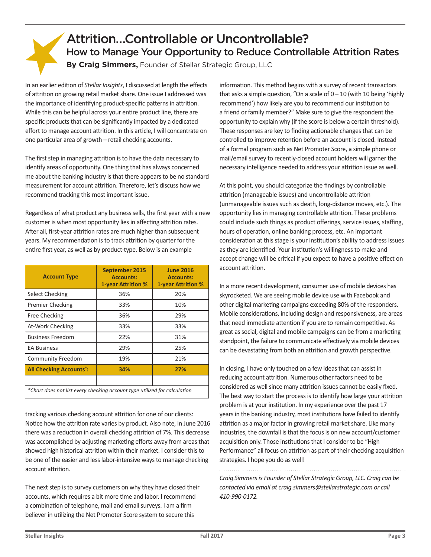## Attrition…Controllable or Uncontrollable? How to Manage Your Opportunity to Reduce Controllable Attrition Rates **By Craig Simmers,** Founder of Stellar Strategic Group, LLC

In an earlier edition of *Stellar Insights*, I discussed at length the effects of attrition on growing retail market share. One issue I addressed was the importance of identifying product-specific patterns in attrition. While this can be helpful across your entire product line, there are specific products that can be significantly impacted by a dedicated effort to manage account attrition. In this article, I will concentrate on one particular area of growth – retail checking accounts.

The first step in managing attrition is to have the data necessary to identify areas of opportunity. One thing that has always concerned me about the banking industry is that there appears to be no standard measurement for account attrition. Therefore, let's discuss how we recommend tracking this most important issue.

Regardless of what product any business sells, the first year with a new customer is when most opportunity lies in affecting attrition rates. After all, first-year attrition rates are much higher than subsequent years. My recommendation is to track attrition by quarter for the entire first year, as well as by product-type. Below is an example

| <b>Account Type</b>                                                       | <b>September 2015</b><br><b>Accounts:</b><br><b>1-year Attrition %</b> | <b>June 2016</b><br><b>Accounts:</b><br><b>1-year Attrition %</b> |
|---------------------------------------------------------------------------|------------------------------------------------------------------------|-------------------------------------------------------------------|
| Select Checking                                                           | 36%                                                                    | 20%                                                               |
| Premier Checking                                                          | 33%                                                                    | 10%                                                               |
| <b>Free Checking</b>                                                      | 36%                                                                    | 29%                                                               |
| At-Work Checking                                                          | 33%                                                                    | 33%                                                               |
| <b>Business Freedom</b>                                                   | 22%                                                                    | 31%                                                               |
| <b>EA Business</b>                                                        | 29%                                                                    | 25%                                                               |
| Community Freedom                                                         | 19%                                                                    | 21%                                                               |
| <b>All Checking Accounts*:</b>                                            | 34%                                                                    | 27%                                                               |
|                                                                           |                                                                        |                                                                   |
| *Chart does not list every checking account type utilized for calculation |                                                                        |                                                                   |

tracking various checking account attrition for one of our clients: Notice how the attrition rate varies by product. Also note, in June 2016 there was a reduction in overall checking attrition of 7%. This decrease was accomplished by adjusting marketing efforts away from areas that showed high historical attrition within their market. I consider this to be one of the easier and less labor-intensive ways to manage checking account attrition.

The next step is to survey customers on why they have closed their accounts, which requires a bit more time and labor. I recommend a combination of telephone, mail and email surveys. I am a firm believer in utilizing the Net Promoter Score system to secure this

information. This method begins with a survey of recent transactors that asks a simple question, "On a scale of  $0 - 10$  (with 10 being 'highly recommend') how likely are you to recommend our institution to a friend or family member?" Make sure to give the respondent the opportunity to explain why (if the score is below a certain threshold). These responses are key to finding actionable changes that can be controlled to improve retention before an account is closed. Instead of a formal program such as Net Promoter Score, a simple phone or mail/email survey to recently-closed account holders will garner the necessary intelligence needed to address your attrition issue as well.

At this point, you should categorize the findings by controllable attrition (manageable issues) and uncontrollable attrition (unmanageable issues such as death, long-distance moves, etc.). The opportunity lies in managing controllable attrition. These problems could include such things as product offerings, service issues, staffing, hours of operation, online banking process, etc. An important consideration at this stage is your institution's ability to address issues as they are identified. Your institution's willingness to make and accept change will be critical if you expect to have a positive effect on account attrition.

In a more recent development, consumer use of mobile devices has skyrocketed. We are seeing mobile device use with Facebook and other digital marketing campaigns exceeding 80% of the responders. Mobile considerations, including design and responsiveness, are areas that need immediate attention if you are to remain competitive. As great as social, digital and mobile campaigns can be from a marketing standpoint, the failure to communicate effectively via mobile devices can be devastating from both an attrition and growth perspective.

In closing, I have only touched on a few ideas that can assist in reducing account attrition. Numerous other factors need to be considered as well since many attrition issues cannot be easily fixed. The best way to start the process is to identify how large your attrition problem is at your institution. In my experience over the past 17 years in the banking industry, most institutions have failed to identify attrition as a major factor in growing retail market share. Like many industries, the downfall is that the focus is on new account/customer acquisition only. Those institutions that I consider to be "High Performance" all focus on attrition as part of their checking acquisition strategies. I hope you do as well!

*Craig Simmers is Founder of Stellar Strategic Group, LLC. Craig can be contacted via email at craig.simmers@stellarstrategic.com or call 410-990-0172.*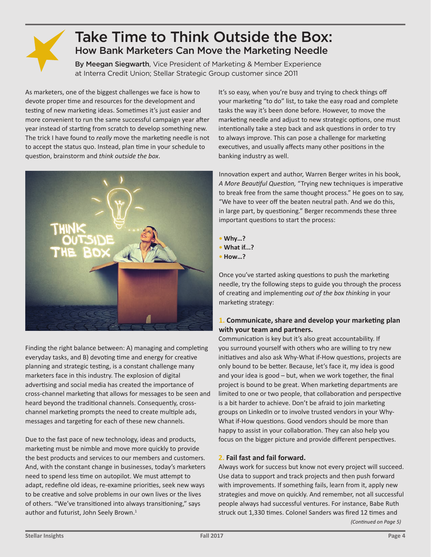

## Take Time to Think Outside the Box: How Bank Marketers Can Move the Marketing Needle

By Meegan Siegwarth, Vice President of Marketing & Member Experience at Interra Credit Union; Stellar Strategic Group customer since 2011

As marketers, one of the biggest challenges we face is how to devote proper time and resources for the development and testing of new marketing ideas. Sometimes it's just easier and more convenient to run the same successful campaign year after year instead of starting from scratch to develop something new. The trick I have found to *really* move the marketing needle is not to accept the status quo. Instead, plan time in your schedule to question, brainstorm and *think outside the box*.



Finding the right balance between: A) managing and completing everyday tasks, and B) devoting time and energy for creative planning and strategic testing, is a constant challenge many marketers face in this industry. The explosion of digital advertising and social media has created the importance of cross-channel marketing that allows for messages to be seen and heard beyond the traditional channels. Consequently, crosschannel marketing prompts the need to create multiple ads, messages and targeting for each of these new channels.

Due to the fast pace of new technology, ideas and products, marketing must be nimble and move more quickly to provide the best products and services to our members and customers. And, with the constant change in businesses, today's marketers need to spend less time on autopilot. We must attempt to adapt, redefine old ideas, re-examine priorities, seek new ways to be creative and solve problems in our own lives or the lives of others. "We've transitioned into always transitioning," says author and futurist, John Seely Brown.<sup>1</sup>

It's so easy, when you're busy and trying to check things off your marketing "to do" list, to take the easy road and complete tasks the way it's been done before. However, to move the marketing needle and adjust to new strategic options, one must intentionally take a step back and ask questions in order to try to always improve. This can pose a challenge for marketing executives, and usually affects many other positions in the banking industry as well.

Innovation expert and author, Warren Berger writes in his book, *A More Beautiful Question,* "Trying new techniques is imperative to break free from the same thought process." He goes on to say, "We have to veer off the beaten neutral path. And we do this, in large part, by questioning." Berger recommends these three important questions to start the process:

- **• Why…?**
- **• What if...?**
- **• How…?**

Once you've started asking questions to push the marketing needle, try the following steps to guide you through the process of creating and implementing *out of the box thinking* in your marketing strategy:

#### **1. Communicate, share and develop your marketing plan with your team and partners.**

Communication is key but it's also great accountability. If you surround yourself with others who are willing to try new initiatives and also ask Why-What if-How questions, projects are only bound to be better. Because, let's face it, my idea is good and your idea is good – but, when we work together, the final project is bound to be great. When marketing departments are limited to one or two people, that collaboration and perspective is a bit harder to achieve. Don't be afraid to join marketing groups on LinkedIn or to involve trusted vendors in your Why-What if-How questions. Good vendors should be more than happy to assist in your collaboration. They can also help you focus on the bigger picture and provide different perspectives.

#### **2. Fail fast and fail forward.**

Always work for success but know not every project will succeed. Use data to support and track projects and then push forward with improvements. If something fails, learn from it, apply new strategies and move on quickly. And remember, not all successful people always had successful ventures. For instance, Babe Ruth struck out 1,330 times. Colonel Sanders was fired 12 times and *(Continued on Page 5)*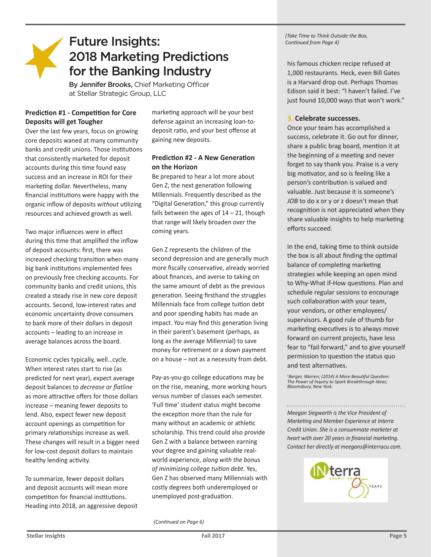## Future Insights: 2018 Marketing Predictions for the Banking Industry

By Jennifer Brooks, Chief Marketing Officer at Stellar Strategic Group, LLC

#### **Prediction #1 - Competition for Core Deposits will get Tougher**

Over the last few years, focus on growing core deposits waned at many community banks and credit unions. Those institutions that consistently marketed for deposit accounts during this time found easy success and an increase in ROI for their marketing dollar. Nevertheless, many financial institutions were happy with the organic inflow of deposits *without* utilizing resources and achieved growth as well.

Two major influences were in effect during this time that amplified the inflow of deposit accounts: first, there was increased checking transition when many big bank institutions implemented fees on previously free checking accounts. For community banks and credit unions, this created a steady rise in new core deposit accounts. Second, low-interest rates and economic uncertainty drove consumers to bank more of their dollars in deposit accounts – leading to an increase in average balances across the board.

Economic cycles typically, well…cycle. When interest rates start to rise (as predicted for next year), expect average deposit balances to *decrease or flatline* as more attractive offers for those dollars increase – meaning fewer deposits to lend. Also, expect fewer new deposit account openings as competition for primary relationships increase as well. These changes will result in a bigger need for low-cost deposit dollars to maintain healthy lending activity.

To summarize, fewer deposit dollars and deposit accounts will mean more competition for financial institutions. Heading into 2018, an aggressive deposit marketing approach will be your best defense against an increasing loan-todeposit ratio, and your best offense at gaining new deposits.

#### **Prediction #2 - A New Generation on the Horizon**

Be prepared to hear a lot more about Gen Z, the next generation following Millennials. Frequently described as the "Digital Generation," this group currently falls between the ages of  $14 - 21$ , though that range will likely broaden over the coming years.

Gen Z represents the children of the second depression and are generally much more fiscally conservative, already worried about finances, and averse to taking on the same amount of debt as the previous generation. Seeing firsthand the struggles Millennials face from college tuition debt and poor spending habits has made an impact. You may find this generation living in their parent's basement (perhaps, as long as the average Millennial) to save money for retirement or a down payment on a house – not as a necessity from debt.

Pay-as-you-go college educations may be on the rise, meaning, more working hours versus number of classes each semester. 'Full time' student status might become the exception more than the rule for many without an academic or athletic scholarship. This trend could also provide Gen Z with a balance between earning your degree and gaining valuable realworld experience, *along with the bonus of minimizing college tuition debt.* Yes, Gen Z has observed many Millennials with costly degrees both underemployed or unemployed post-graduation.

*(Continued on Page 6)*

*(Take Time to Think Outside the Box, Continued from Page 4)*

his famous chicken recipe refused at 1,000 restaurants. Heck, even Bill Gates is a Harvard drop out. Perhaps Thomas Edison said it best: "I haven't failed. I've just found 10,000 ways that won't work."

#### **3. Celebrate successes.**

Once your team has accomplished a success, celebrate it. Go out for dinner, share a public brag board, mention it at the beginning of a meeting and never forget to say thank you. Praise is a very big motivator, and so is feeling like a person's contribution is valued and valuable. Just because it is someone's *JOB* to do x or y or z doesn't mean that recognition is not appreciated when they share valuable insights to help marketing efforts succeed.

In the end, taking time to think outside the box is all about finding the optimal balance of completing marketing strategies while keeping an open mind to Why-What if-How questions. Plan and schedule regular sessions to encourage such collaboration with your team, your vendors, or other employees/ supervisors. A good rule of thumb for marketing executives is to always move forward on current projects, have less fear to "fail forward," and to give yourself permission to question the status quo and test alternatives.

*1 Berger, Warren; (2014) A More Beautiful Question: The Power of Inquiry to Spark Breakthrough Ideas; Bloomsbury, New York.*

*Meegan Siegwarth is the Vice President of Marketing and Member Experience at Interra Credit Union. She is a consummate marketer at heart with over 20 years in financial marketing. Contact her directly at meegans@interracu.com.*

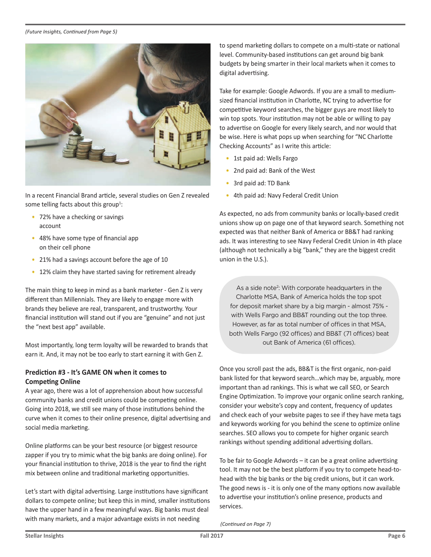#### *(Future Insights, Continued from Page 5)*



In a recent Financial Brand article, several studies on Gen Z revealed some telling facts about this group<sup>1</sup>:

- 72% have a checking or savings account
- 48% have some type of financial app on their cell phone
- 21% had a savings account before the age of 10
- 12% claim they have started saving for retirement already

The main thing to keep in mind as a bank marketer - Gen Z is very different than Millennials. They are likely to engage more with brands they believe are real, transparent, and trustworthy. Your financial institution will stand out if you are "genuine" and not just the "next best app" available.

Most importantly, long term loyalty will be rewarded to brands that earn it. And, it may not be too early to start earning it with Gen Z.

#### **Prediction #3 - It's GAME ON when it comes to Competing Online**

A year ago, there was a lot of apprehension about how successful community banks and credit unions could be competing online. Going into 2018, we still see many of those institutions behind the curve when it comes to their online presence, digital advertising and social media marketing.

Online platforms can be your best resource (or biggest resource zapper if you try to mimic what the big banks are doing online). For your financial institution to thrive, 2018 is the year to find the right mix between online and traditional marketing opportunities.

Let's start with digital advertising. Large institutions have significant dollars to compete online; but keep this in mind, smaller institutions have the upper hand in a few meaningful ways. Big banks must deal with many markets, and a major advantage exists in not needing

to spend marketing dollars to compete on a multi-state or national level. Community-based institutions can get around big bank budgets by being smarter in their local markets when it comes to digital advertising.

Take for example: Google Adwords. If you are a small to mediumsized financial institution in Charlotte, NC trying to advertise for competitive keyword searches, the bigger guys are most likely to win top spots. Your institution may not be able or willing to pay to advertise on Google for every likely search, and nor would that be wise. Here is what pops up when searching for "NC Charlotte Checking Accounts" as I write this article:

- 1st paid ad: Wells Fargo
- 2nd paid ad: Bank of the West
- 3rd paid ad: TD Bank
- 4th paid ad: Navy Federal Credit Union

As expected, no ads from community banks or locally-based credit unions show up on page one of that keyword search. Something not expected was that neither Bank of America or BB&T had ranking ads. It was interesting to see Navy Federal Credit Union in 4th place (although not technically a big "bank," they are the biggest credit union in the U.S.).

As a side note<sup>2</sup>: With corporate headquarters in the Charlotte MSA, Bank of America holds the top spot for deposit market share by a big margin - almost 75% with Wells Fargo and BB&T rounding out the top three. However, as far as total number of offices in that MSA, both Wells Fargo (92 offices) and BB&T (71 offices) beat out Bank of America (61 offices).

Once you scroll past the ads, BB&T is the first organic, non-paid bank listed for that keyword search…which may be, arguably, more important than ad rankings. This is what we call SEO, or Search Engine Optimization. To improve your organic online search ranking, consider your website's copy and content, frequency of updates and check each of your website pages to see if they have meta tags and keywords working for you behind the scene to optimize online searches. SEO allows you to compete for higher organic search rankings without spending additional advertising dollars.

To be fair to Google Adwords – it can be a great online advertising tool. It may not be the best platform if you try to compete head-tohead with the big banks or the big credit unions, but it can work. The good news is - it is only one of the many options now available to advertise your institution's online presence, products and services.

*(Continued on Page 7)*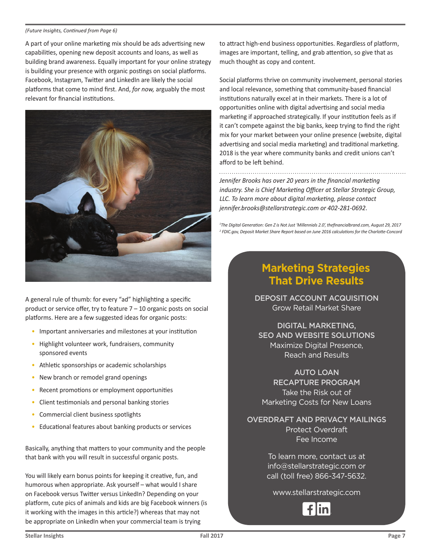#### *(Future Insights, Continued from Page 6)*

A part of your online marketing mix should be ads advertising new capabilities, opening new deposit accounts and loans, as well as building brand awareness. Equally important for your online strategy is building your presence with organic postings on social platforms. Facebook, Instagram, Twitter and LinkedIn are likely the social platforms that come to mind first. And, *for now,* arguably the most relevant for financial institutions.



A general rule of thumb: for every "ad" highlighting a specific product or service offer, try to feature 7 – 10 organic posts on social platforms. Here are a few suggested ideas for organic posts:

- Important anniversaries and milestones at your institution
- Highlight volunteer work, fundraisers, community sponsored events
- Athletic sponsorships or academic scholarships
- New branch or remodel grand openings
- Recent promotions or employment opportunities
- Client testimonials and personal banking stories
- Commercial client business spotlights
- Educational features about banking products or services

Basically, anything that matters to your community and the people that bank with you will result in successful organic posts.

You will likely earn bonus points for keeping it creative, fun, and humorous when appropriate. Ask yourself – what would I share on Facebook versus Twitter versus LinkedIn? Depending on your platform, cute pics of animals and kids are big Facebook winners (is it working with the images in this article?) whereas that may not be appropriate on LinkedIn when your commercial team is trying

to attract high-end business opportunities. Regardless of platform, images are important, telling, and grab attention, so give that as much thought as copy and content.

Social platforms thrive on community involvement, personal stories and local relevance, something that community-based financial institutions naturally excel at in their markets. There is a lot of opportunities online with digital advertising and social media marketing if approached strategically. If your institution feels as if it can't compete against the big banks, keep trying to find the right mix for your market between your online presence (website, digital advertising and social media marketing) and traditional marketing. 2018 is the year where community banks and credit unions can't afford to be left behind.

*Jennifer Brooks has over 20 years in the financial marketing industry. She is Chief Marketing Officer at Stellar Strategic Group, LLC. To learn more about digital marketing, please contact jennifer.brooks@stellarstrategic.com or 402-281-0692*.

*1 The Digital Generation: Gen Z is Not Just 'Millennials 2.0', thefinancialbrand.com, August 29, 2017 2 FDIC.gov, Deposit Market Share Report based on June 2016 calculations for the Charlotte-Concord*

## **Marketing Strategies That Drive Results**

DEPOSIT ACCOUNT ACQUISITION Grow Retail Market Share

DIGITAL MARKETING, SEO AND WEBSITE SOLUTIONS Maximize Digital Presence, Reach and Results

AUTO LOAN RECAPTURE PROGRAM Take the Risk out of Marketing Costs for New Loans

OVERDRAFT AND PRIVACY MAILINGS Protect Overdraft Fee Income

> To learn more, contact us at info@stellarstrategic.com or call (toll free) 866-347-5632.

www.stellarstrategic.com